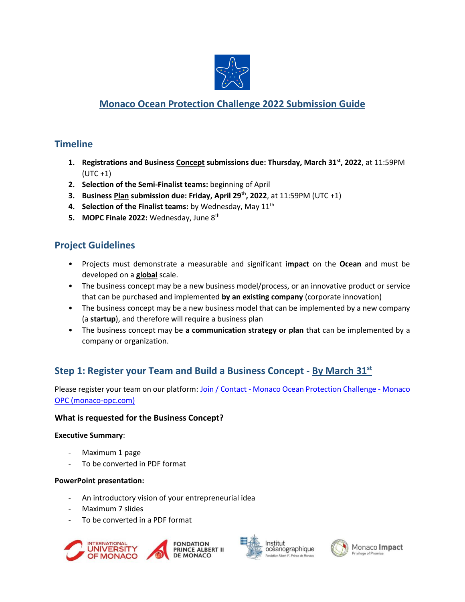

# **Monaco Ocean Protection Challenge 2022 Submission Guide**

### **Timeline**

- **1. Registrations and Business Concept submissions due: Thursday, March 31st, 2022**, at 11:59PM  $(UTC + 1)$
- **2. Selection of the Semi-Finalist teams:** beginning of April
- **3. Business Plan submission due: Friday, April 29th, 2022**, at 11:59PM (UTC +1)
- **4. Selection of the Finalist teams:** by Wednesday, May 11<sup>th</sup>
- **5. MOPC Finale 2022:** Wednesday, June 8th

### **Project Guidelines**

- Projects must demonstrate a measurable and significant **impact** on the **Ocean** and must be developed on a **global** scale.
- The business concept may be a new business model/process, or an innovative product or service that can be purchased and implemented **by an existing company** (corporate innovation)
- The business concept may be a new business model that can be implemented by a new company (a **startup**), and therefore will require a business plan
- The business concept may be **a communication strategy or plan** that can be implemented by a company or organization.

# **Step 1: Register your Team and Build a Business Concept - By March 31st**

Please register your team on our platform: Join / Contact - [Monaco Ocean Protection Challenge -](https://www.monaco-opc.com/join-contact/) Monaco [OPC \(monaco-opc.com\)](https://www.monaco-opc.com/join-contact/)

#### **What is requested for the Business Concept?**

#### **Executive Summary**:

- Maximum 1 page
- To be converted in PDF format

#### **PowerPoint presentation:**

- An introductory vision of your entrepreneurial idea
- Maximum 7 slides
- To be converted in a PDF format







Monaco Impact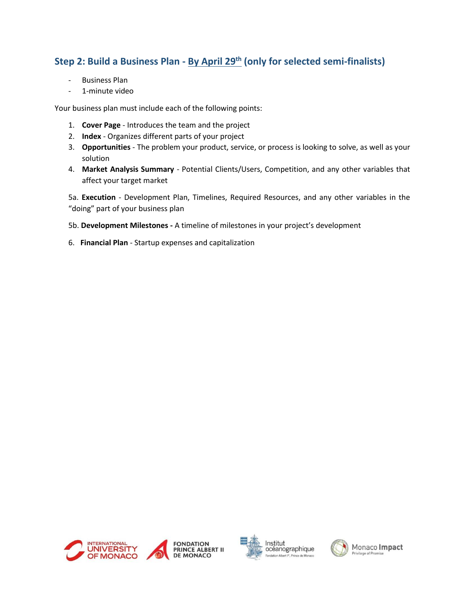# **Step 2: Build a Business Plan - By April 29th (only for selected semi-finalists)**

- **Business Plan**
- 1-minute video

Your business plan must include each of the following points:

- 1. **Cover Page** Introduces the team and the project
- 2. **Index** Organizes different parts of your project
- 3. **Opportunities** The problem your product, service, or process is looking to solve, as well as your solution
- 4. **Market Analysis Summary** Potential Clients/Users, Competition, and any other variables that affect your target market

5a. **Execution** - Development Plan, Timelines, Required Resources, and any other variables in the "doing" part of your business plan

- 5b. **Development Milestones -** A timeline of milestones in your project's development
- 6. **Financial Plan** Startup expenses and capitalization







Monaco Impact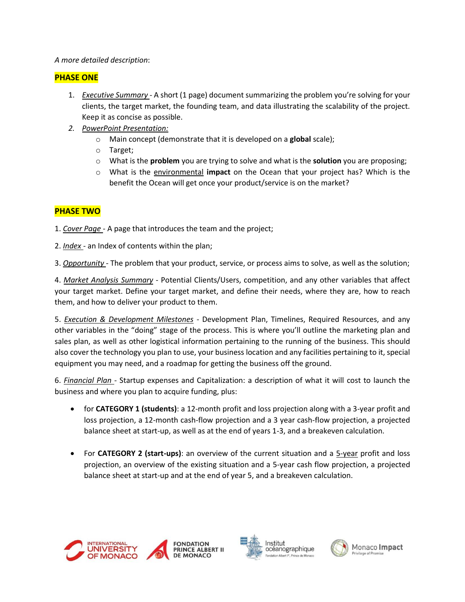#### *A more detailed description*:

### **PHASE ONE**

- 1. *Executive Summary* A short (1 page) document summarizing the problem you're solving for your clients, the target market, the founding team, and data illustrating the scalability of the project. Keep it as concise as possible.
- *2. PowerPoint Presentation:* 
	- o Main concept (demonstrate that it is developed on a **global** scale);
	- o Target;
	- o What is the **problem** you are trying to solve and what is the **solution** you are proposing;
	- o What is the environmental **impact** on the Ocean that your project has? Which is the benefit the Ocean will get once your product/service is on the market?

### **PHASE TWO**

1. *Cover Page* - A page that introduces the team and the project;

2. *Index* - an Index of contents within the plan;

3. *Opportunity* - The problem that your product, service, or process aims to solve, as well as the solution;

4. *Market Analysis Summary* - Potential Clients/Users, competition, and any other variables that affect your target market. Define your target market, and define their needs, where they are, how to reach them, and how to deliver your product to them.

5. *Execution & Development Milestones* - Development Plan, Timelines, Required Resources, and any other variables in the "doing" stage of the process. This is where you'll outline the marketing plan and sales plan, as well as other logistical information pertaining to the running of the business. This should also cover the technology you plan to use, your business location and any facilities pertaining to it, special equipment you may need, and a roadmap for getting the business off the ground.

6. *Financial Plan* - Startup expenses and Capitalization: a description of what it will cost to launch the business and where you plan to acquire funding, plus:

- for **CATEGORY 1 (students)**: a 12-month profit and loss projection along with a 3-year profit and loss projection, a 12-month cash-flow projection and a 3 year cash-flow projection, a projected balance sheet at start-up, as well as at the end of years 1-3, and a breakeven calculation.
- For **CATEGORY 2 (start-ups)**: an overview of the current situation and a 5-year profit and loss projection, an overview of the existing situation and a 5-year cash flow projection, a projected balance sheet at start-up and at the end of year 5, and a breakeven calculation.